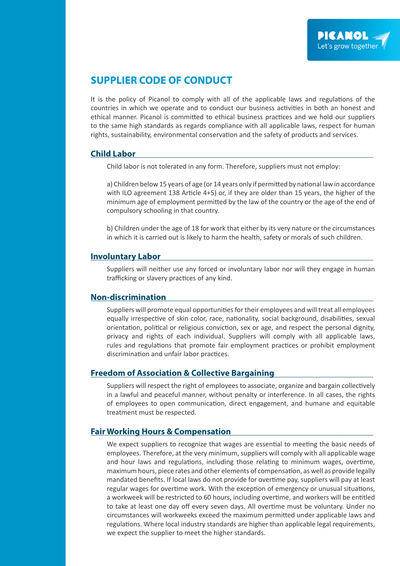# **SUPPLIER CODE OF CONDUCT**

It is the policy of Picanol to comply with all of the applicable laws and regulations of the countries in which we operate and to conduct our business activities in both an honest and ethical manner. Picanol is committed to ethical business practices and we hold our suppliers to the same high standards as regards compliance with all applicable laws, respect for human rights, sustainability, environmental conservation and the safety of products and services.

#### **Child Labor**

Child labor is not tolerated in any form. Therefore, suppliers must not employ:

a) Children below 15 years of age (or 14 years only if permitted by national law in accordance with ILO agreement 138 Article 4+5) or, if they are older than 15 years, the higher of the minimum age of employment permitted by the law of the country or the age of the end of compulsory schooling in that country.

b) Children under the age of 18 for work that either by its very nature or the circumstances in which it is carried out is likely to harm the health, safety or morals of such children.

#### **Involuntary Labor**

Suppliers will neither use any forced or involuntary labor nor will they engage in human trafficking or slavery practices of any kind.

#### **Non-discrimination**

Suppliers will promote equal opportunities for their employees and will treat all employees equally irrespective of skin color, race, nationality, social background, disabilities, sexual orientation, political or religious conviction, sex or age, and respect the personal dignity, privacy and rights of each individual. Suppliers will comply with all applicable laws, rules and regulations that promote fair employment practices or prohibit employment discrimination and unfair labor practices.

#### **Freedom of Association & Collective Bargaining**

Suppliers will respect the right of employees to associate, organize and bargain collectively in a lawful and peaceful manner, without penalty or interference. In all cases, the rights of employees to open communication, direct engagement, and humane and equitable treatment must be respected.

## **Fair Working Hours & Compensation**

We expect suppliers to recognize that wages are essential to meeting the basic needs of employees. Therefore, at the very minimum, suppliers will comply with all applicable wage and hour laws and regulations, including those relating to minimum wages, overtime, maximum hours, piece rates and other elements of compensation, as well as provide legally mandated benefits. If local laws do not provide for overtime pay, suppliers will pay at least regular wages for overtime work. With the exception of emergency or unusual situations, a workweek will be restricted to 60 hours, including overtime, and workers will be entitled to take at least one day off every seven days. All overtime must be voluntary. Under no circumstances will workweeks exceed the maximum permitted under applicable laws and regulations. Where local industry standards are higher than applicable legal requirements, we expect the supplier to meet the higher standards.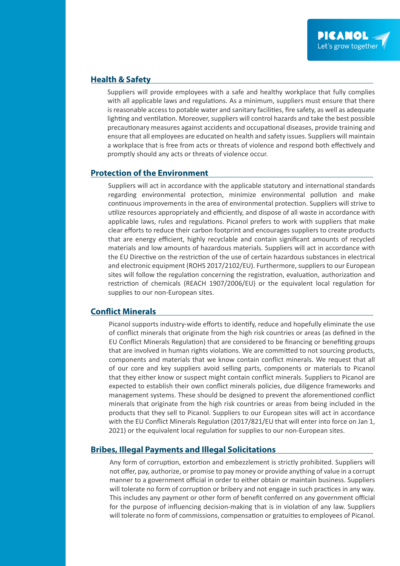## **Health & Safety**

Suppliers will provide employees with a safe and healthy workplace that fully complies with all applicable laws and regulations. As a minimum, suppliers must ensure that there is reasonable access to potable water and sanitary facilities, fire safety, as well as adequate lighting and ventilation. Moreover, suppliers will control hazards and take the best possible precautionary measures against accidents and occupational diseases, provide training and ensure that all employees are educated on health and safety issues. Suppliers will maintain a workplace that is free from acts or threats of violence and respond both effectively and promptly should any acts or threats of violence occur.

## **Protection of the Environment**

Suppliers will act in accordance with the applicable statutory and international standards regarding environmental protection, minimize environmental pollution and make continuous improvements in the area of environmental protection. Suppliers will strive to utilize resources appropriately and efficiently, and dispose of all waste in accordance with applicable laws, rules and regulations. Picanol prefers to work with suppliers that make clear efforts to reduce their carbon footprint and encourages suppliers to create products that are energy efficient, highly recyclable and contain significant amounts of recycled materials and low amounts of hazardous materials. Suppliers will act in accordance with the EU Directive on the restriction of the use of certain hazardous substances in electrical and electronic equipment (ROHS 2017/2102/EU). Furthermore, suppliers to our European sites will follow the regulation concerning the registration, evaluation, authorization and restriction of chemicals (REACH 1907/2006/EU) or the equivalent local regulation for supplies to our non-European sites.

## **Conflict Minerals**

Picanol supports industry-wide efforts to identify, reduce and hopefully eliminate the use of conflict minerals that originate from the high risk countries or areas (as defined in the EU Conflict Minerals Regulation) that are considered to be financing or benefiting groups that are involved in human rights violations. We are committed to not sourcing products, components and materials that we know contain conflict minerals. We request that all of our core and key suppliers avoid selling parts, components or materials to Picanol that they either know or suspect might contain conflict minerals. Suppliers to Picanol are expected to establish their own conflict minerals policies, due diligence frameworks and management systems. These should be designed to prevent the aforementioned conflict minerals that originate from the high risk countries or areas from being included in the products that they sell to Picanol. Suppliers to our European sites will act in accordance with the EU Conflict Minerals Regulation (2017/821/EU that will enter into force on Jan 1, 2021) or the equivalent local regulation for supplies to our non-European sites.

## **Bribes, Illegal Payments and Illegal Solicitations**

Any form of corruption, extortion and embezzlement is strictly prohibited. Suppliers will not offer, pay, authorize, or promise to pay money or provide anything of value in a corrupt manner to a government official in order to either obtain or maintain business. Suppliers will tolerate no form of corruption or bribery and not engage in such practices in any way. This includes any payment or other form of benefit conferred on any government official for the purpose of influencing decision-making that is in violation of any law. Suppliers will tolerate no form of commissions, compensation or gratuities to employees of Picanol.